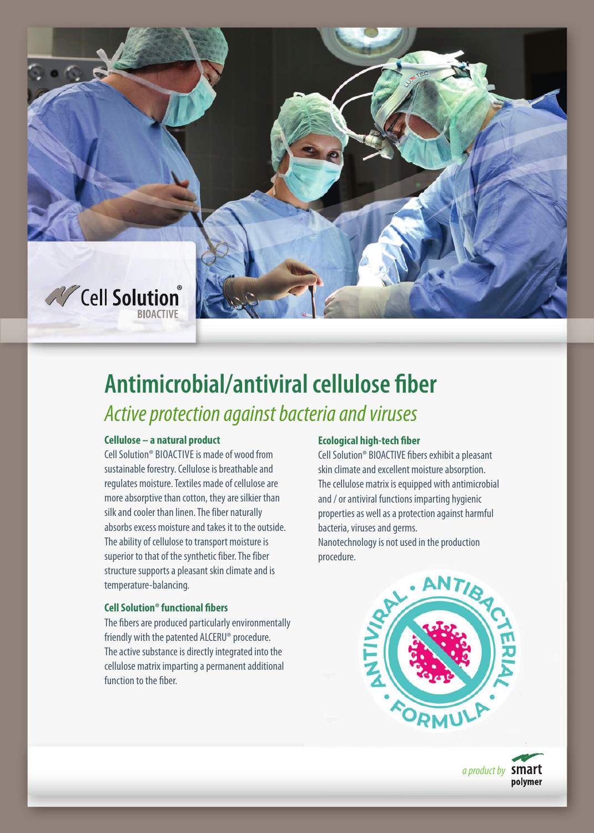

# **Antimicrobial/antiviral cellulose fiber**  Active protection against bacteria and viruses

## **Cellulose – a natural product**

Cell Solution® BIOACTIVE is made of wood from sustainable forestry. Cellulose is breathable and regulates moisture. Textiles made of cellulose are more absorptive than cotton, they are silkier than silk and cooler than linen. The fiber naturally absorbs excess moisture and takes it to the outside. The ability of cellulose to transport moisture is superior to that of the synthetic fiber. The fiber structure supports a pleasant skin climate and is temperature-balancing.

### **Cell Solution® functional fibers**

The fibers are produced particularly environmentally friendly with the patented ALCERU® procedure. The active substance is directly integrated into the cellulose matrix imparting a permanent additional function to the fiber.

### **Ecological high-tech fiber**

Cell Solution® BIOACTIVE fibers exhibit a pleasant skin climate and excellent moisture absorption. The cellulose matrix is equipped with antimicrobial and / or antiviral functions imparting hygienic properties as well as a protection against harmful bacteria, viruses and germs. Nanotechnology is not used in the production procedure.



a product by **Smart** polymer